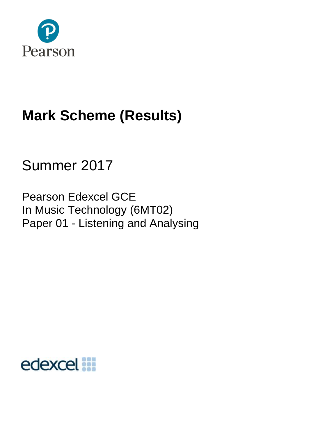

# **Mark Scheme (Results)**

## Summer 2017

Pearson Edexcel GCE In Music Technology (6MT02) Paper 01 - Listening and Analysing

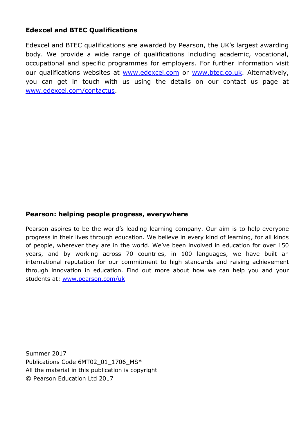#### **Edexcel and BTEC Qualifications**

Edexcel and BTEC qualifications are awarded by Pearson, the UK's largest awarding body. We provide a wide range of qualifications including academic, vocational, occupational and specific programmes for employers. For further information visit our qualifications websites at [www.edexcel.com](http://www.edexcel.com/) or [www.btec.co.uk.](http://www.btec.co.uk/) Alternatively, you can get in touch with us using the details on our contact us page at [www.edexcel.com/contactus.](http://www.edexcel.com/contactus)

#### **Pearson: helping people progress, everywhere**

Pearson aspires to be the world's leading learning company. Our aim is to help everyone progress in their lives through education. We believe in every kind of learning, for all kinds of people, wherever they are in the world. We've been involved in education for over 150 years, and by working across 70 countries, in 100 languages, we have built an international reputation for our commitment to high standards and raising achievement through innovation in education. Find out more about how we can help you and your students at: [www.pearson.com/uk](http://www.pearson.com/uk)

Summer 2017 Publications Code 6MT02\_01\_1706\_MS\* All the material in this publication is copyright © Pearson Education Ltd 2017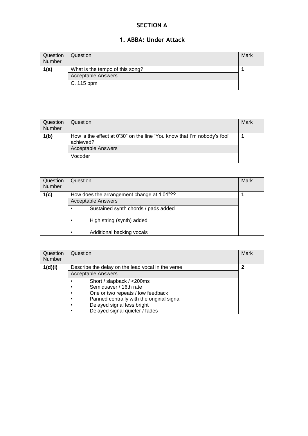#### **SECTION A**

#### **1. ABBA: Under Attack**

| Question<br>Number | Question                                                     | Mark |
|--------------------|--------------------------------------------------------------|------|
| 1(a)               | What is the tempo of this song?<br><b>Acceptable Answers</b> |      |
|                    | C. 115 bpm                                                   |      |

| Question<br><b>Number</b> | Question                                                                              | Mark |
|---------------------------|---------------------------------------------------------------------------------------|------|
| 1(b)                      | How is the effect at 0'30" on the line 'You know that I'm nobody's fool'<br>achieved? |      |
|                           | <b>Acceptable Answers</b>                                                             |      |
|                           | Vocoder                                                                               |      |

| Question<br>Number | Question                                   | Mark |  |  |  |
|--------------------|--------------------------------------------|------|--|--|--|
| 1(c)               | How does the arrangement change at 1'01"?? |      |  |  |  |
|                    | <b>Acceptable Answers</b>                  |      |  |  |  |
|                    | Sustained synth chords / pads added        |      |  |  |  |
|                    | High string (synth) added                  |      |  |  |  |
|                    | Additional backing vocals<br>٠             |      |  |  |  |

| Question<br>Number | Question                                               | Mark |  |  |
|--------------------|--------------------------------------------------------|------|--|--|
| 1(d)(i)            | Describe the delay on the lead vocal in the verse      |      |  |  |
|                    | <b>Acceptable Answers</b>                              |      |  |  |
|                    | Short / slapback / <200ms<br>٠                         |      |  |  |
|                    | Semiquaver / 16th rate<br>٠                            |      |  |  |
|                    | One or two repeats / low feedback<br>$\bullet$         |      |  |  |
|                    | Panned centrally with the original signal<br>$\bullet$ |      |  |  |
|                    | Delayed signal less bright<br>$\bullet$                |      |  |  |
|                    | Delayed signal quieter / fades<br>٠                    |      |  |  |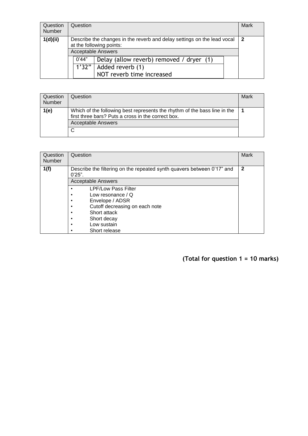| Question<br>Number | Question                                                                                                                                           | Mark |  |  |
|--------------------|----------------------------------------------------------------------------------------------------------------------------------------------------|------|--|--|
| 1(d)(ii)           | $\overline{2}$<br>Describe the changes in the reverb and delay settings on the lead vocal<br>at the following points:<br><b>Acceptable Answers</b> |      |  |  |
|                    | 0'44"<br>Delay (allow reverb) removed / dryer (1)<br>1'32"<br>Added reverb (1)<br>NOT reverb time increased                                        |      |  |  |

| Question<br><b>Number</b> | Question                                                                                                                        | Mark |
|---------------------------|---------------------------------------------------------------------------------------------------------------------------------|------|
| 1(e)                      | Which of the following best represents the rhythm of the bass line in the<br>first three bars? Puts a cross in the correct box. |      |
|                           | <b>Acceptable Answers</b>                                                                                                       |      |
|                           | C                                                                                                                               |      |

| Question                                                                                                                                                                                 | Mark          |
|------------------------------------------------------------------------------------------------------------------------------------------------------------------------------------------|---------------|
| Describe the filtering on the repeated synth quavers between 0'17" and<br>$0'25"$ .<br><b>Acceptable Answers</b>                                                                         | $\mathbf{2}$  |
| <b>LPF/Low Pass Filter</b><br>Low resonance $\sqrt{Q}$<br>Envelope / ADSR<br>$\bullet$<br>Cutoff decreasing on each note<br>٠<br>Short attack<br>Short decay<br>$\bullet$<br>Low sustain |               |
|                                                                                                                                                                                          | Short release |

**(Total for question 1 = 10 marks)**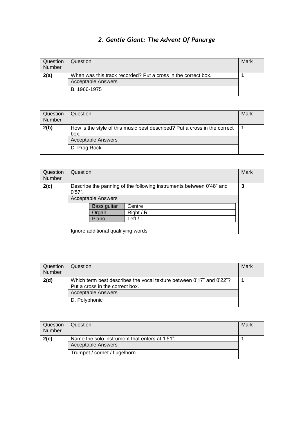## *2. Gentle Giant: The Advent Of Panurge*

| Question<br>Number | Question                                                                                   | Mark |
|--------------------|--------------------------------------------------------------------------------------------|------|
| 2(a)               | When was this track recorded? Put a cross in the correct box.<br><b>Acceptable Answers</b> |      |
|                    | B. 1966-1975                                                                               |      |

| Question<br>Number | Question                                                                          | Mark |
|--------------------|-----------------------------------------------------------------------------------|------|
| 2(b)               | How is the style of this music best described? Put a cross in the correct<br>box. |      |
|                    | <b>Acceptable Answers</b>                                                         |      |
|                    | D. Prog Rock                                                                      |      |

| Question<br><b>Number</b> | Question                                                                                                   |                                    |           | Mark |  |
|---------------------------|------------------------------------------------------------------------------------------------------------|------------------------------------|-----------|------|--|
| 2(c)                      | Describe the panning of the following instruments between 0'48" and<br>0'57".<br><b>Acceptable Answers</b> |                                    |           |      |  |
|                           |                                                                                                            | Bass guitar                        | Centre    |      |  |
|                           |                                                                                                            | Organ                              | Right / R |      |  |
|                           |                                                                                                            | Piano                              | Left $/L$ |      |  |
|                           |                                                                                                            | Ignore additional qualifying words |           |      |  |

| Question<br><b>Number</b> | Question                                                                                                | Mark |
|---------------------------|---------------------------------------------------------------------------------------------------------|------|
| 2(d)                      | Which term best describes the vocal texture between 0'17" and 0'22"?<br>Put a cross in the correct box. |      |
|                           | <b>Acceptable Answers</b>                                                                               |      |
|                           | D. Polyphonic                                                                                           |      |

| Question<br>Number | Question                                       | Mark |  |  |
|--------------------|------------------------------------------------|------|--|--|
| 2(e)               | Name the solo instrument that enters at 1'51". |      |  |  |
|                    | <b>Acceptable Answers</b>                      |      |  |  |
|                    | Trumpet / cornet / flugelhorn                  |      |  |  |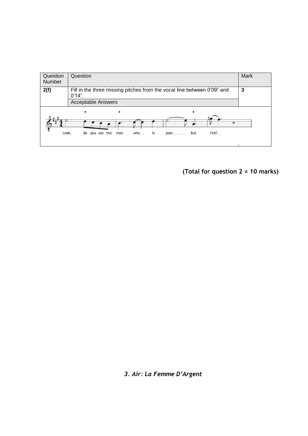

**(Total for question 2 = 10 marks)**

*3. Air: La Femme D'Argent*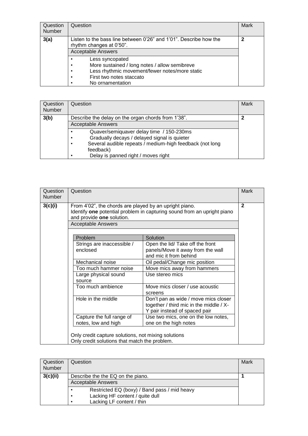| Question<br><b>Number</b> | Question                                                                                                                                                                     | Mark |
|---------------------------|------------------------------------------------------------------------------------------------------------------------------------------------------------------------------|------|
| 3(a)                      | Listen to the bass line between 0'26" and 1'01". Describe how the<br>rhythm changes at 0'50".<br><b>Acceptable Answers</b>                                                   | 2    |
|                           | Less syncopated<br>More sustained / long notes / allow semibreve<br>Less rhythmic movement/fewer notes/more static<br>٠<br>First two notes staccato<br>٠<br>No ornamentation |      |

| Question<br><b>Number</b> | Question                                                                                                                                                                                                           | Mark |
|---------------------------|--------------------------------------------------------------------------------------------------------------------------------------------------------------------------------------------------------------------|------|
| 3(b)                      | Describe the delay on the organ chords from 1'38".<br><b>Acceptable Answers</b>                                                                                                                                    | າ    |
|                           | Quaver/semiquaver delay time / 150-230ms<br>Gradually decays / delayed signal is quieter<br>٠<br>Several audible repeats / medium-high feedback (not long<br>٠<br>feedback)<br>Delay is panned right / moves right |      |

| Question<br>Number | Question                                                                                                         |                                                                                                                  | Mark         |
|--------------------|------------------------------------------------------------------------------------------------------------------|------------------------------------------------------------------------------------------------------------------|--------------|
| 3(c)(i)            | From 4'02", the chords are played by an upright piano.<br>and provide one solution.<br><b>Acceptable Answers</b> | Identify one potential problem in capturing sound from an upright piano                                          | $\mathbf{2}$ |
|                    | Problem                                                                                                          | Solution                                                                                                         |              |
|                    | Strings are inaccessible /<br>enclosed                                                                           | Open the lid/ Take off the front<br>panels/Move it away from the wall<br>and mic it from behind                  |              |
|                    | Mechanical noise                                                                                                 | Oil pedal/Change mic position                                                                                    |              |
|                    | Too much hammer noise                                                                                            | Move mics away from hammers                                                                                      |              |
|                    | Large physical sound<br>source                                                                                   | Use stereo mics                                                                                                  |              |
|                    | Too much ambience                                                                                                | Move mics closer / use acoustic<br>screens                                                                       |              |
|                    | Hole in the middle                                                                                               | Don't pan as wide / move mics closer<br>together / third mic in the middle / X-<br>Y pair instead of spaced pair |              |
|                    | Capture the full range of<br>notes, low and high                                                                 | Use two mics, one on the low notes,<br>one on the high notes                                                     |              |
|                    | Only credit capture solutions, not mixing solutions<br>Only credit solutions that match the problem.             |                                                                                                                  |              |

| Question<br><b>Number</b> | Question                                                                                                                       | Mark |
|---------------------------|--------------------------------------------------------------------------------------------------------------------------------|------|
| 3(c)(ii)                  | Describe the the EQ on the piano.<br><b>Acceptable Answers</b>                                                                 |      |
|                           | Restricted EQ (boxy) / Band pass / mid heavy<br>Lacking HF content / quite dull<br>$\bullet$<br>Lacking LF content / thin<br>٠ |      |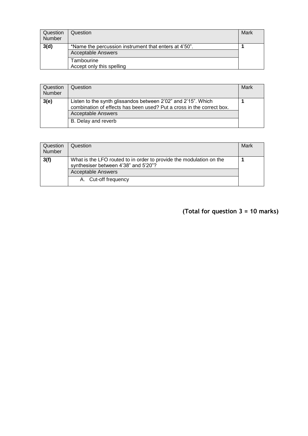| Question<br>Number | Question                                                                           | Mark |
|--------------------|------------------------------------------------------------------------------------|------|
| 3(d)               | *Name the percussion instrument that enters at 4'50".<br><b>Acceptable Answers</b> |      |
|                    | Tambourine<br>Accept only this spelling                                            |      |

| Question<br>Number | Question                                                                                                                                                                                   | Mark |
|--------------------|--------------------------------------------------------------------------------------------------------------------------------------------------------------------------------------------|------|
| 3(e)               | Listen to the synth glissandos between 2'02" and 2'15". Which<br>combination of effects has been used? Put a cross in the correct box.<br><b>Acceptable Answers</b><br>B. Delay and reverb |      |

| Question<br><b>Number</b> | Question                                                                                                    | Mark |
|---------------------------|-------------------------------------------------------------------------------------------------------------|------|
| 3(f)                      | What is the LFO routed to in order to provide the modulation on the<br>synthesiser between 4'38" and 5'20"? |      |
|                           | <b>Acceptable Answers</b>                                                                                   |      |
|                           | A. Cut-off frequency                                                                                        |      |

## **(Total for question 3 = 10 marks)**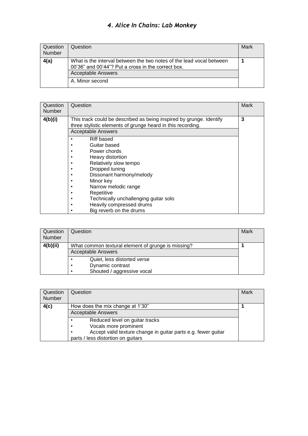#### *4. Alice In Chains: Lab Monkey*

| Question<br>Number | Question                                                                                                                   | Mark |
|--------------------|----------------------------------------------------------------------------------------------------------------------------|------|
| 4(a)               | What is the interval between the two notes of the lead vocal between<br>00'36" and 00'44"? Put a cross in the correct box. |      |
|                    | <b>Acceptable Answers</b>                                                                                                  |      |
|                    | A. Minor second                                                                                                            |      |

| Question<br><b>Number</b> | Question                                                                                                                                                        | Mark |
|---------------------------|-----------------------------------------------------------------------------------------------------------------------------------------------------------------|------|
| 4(b)(i)                   | This track could be described as being inspired by grunge. Identify<br>three stylistic elements of grunge heard in this recording.<br><b>Acceptable Answers</b> | 3    |
|                           | Riff based<br>٠                                                                                                                                                 |      |
|                           | Guitar based<br>٠                                                                                                                                               |      |
|                           | Power chords<br>٠                                                                                                                                               |      |
|                           | Heavy distortion<br>٠                                                                                                                                           |      |
|                           | Relatively slow tempo<br>٠                                                                                                                                      |      |
|                           | Dropped tuning<br>٠                                                                                                                                             |      |
|                           | Dissonant harmony/melody<br>٠                                                                                                                                   |      |
|                           | Minor key                                                                                                                                                       |      |
|                           | Narrow melodic range<br>٠                                                                                                                                       |      |
|                           | Repetitive<br>٠                                                                                                                                                 |      |
|                           | Technically unchallenging guitar solo<br>٠                                                                                                                      |      |
|                           | Heavily compressed drums                                                                                                                                        |      |
|                           | Big reverb on the drums                                                                                                                                         |      |

| Question<br>Number | Question                                                                                        | Mark |
|--------------------|-------------------------------------------------------------------------------------------------|------|
| 4(b)(ii)           | What common textural element of grunge is missing?<br><b>Acceptable Answers</b>                 |      |
|                    | Quiet, less distorted verse<br>Dynamic contrast<br>٠<br>Shouted / aggressive vocal<br>$\bullet$ |      |

| Question<br>Number | Question                                                                                                         | Mark |
|--------------------|------------------------------------------------------------------------------------------------------------------|------|
| 4(c)               | How does the mix change at 1'30"<br><b>Acceptable Answers</b>                                                    |      |
|                    | Reduced level on guitar tracks<br>٠                                                                              |      |
|                    | Vocals more prominent<br>$\bullet$<br>Accept valid texture change in guitar parts e.g. fewer guitar<br>$\bullet$ |      |
|                    | parts / less distortion on guitars                                                                               |      |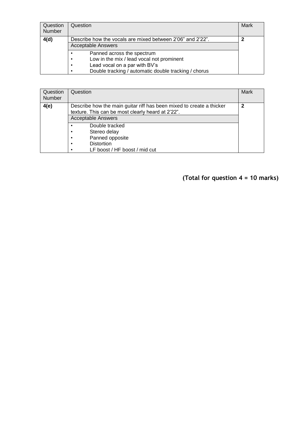| Question<br><b>Number</b> | Question                                                                                                                                                                                                     | Mark |
|---------------------------|--------------------------------------------------------------------------------------------------------------------------------------------------------------------------------------------------------------|------|
| 4(d)                      | Describe how the vocals are mixed between 2'06" and 2'22".<br><b>Acceptable Answers</b>                                                                                                                      | າ    |
|                           | Panned across the spectrum<br>$\bullet$<br>Low in the mix / lead vocal not prominent<br>$\bullet$<br>Lead vocal on a par with BV's<br>٠<br>Double tracking / automatic double tracking / chorus<br>$\bullet$ |      |

| Question<br>Number | Question                                                                                                                                                                                                                                             | Mark |
|--------------------|------------------------------------------------------------------------------------------------------------------------------------------------------------------------------------------------------------------------------------------------------|------|
| 4(e)               | Describe how the main guitar riff has been mixed to create a thicker<br>texture. This can be most clearly heard at 2'22".<br><b>Acceptable Answers</b><br>Double tracked<br>٠<br>Stereo delay<br>٠<br>Panned opposite<br>٠<br><b>Distortion</b><br>٠ | 2    |
|                    | LF boost / HF boost / mid cut<br>٠                                                                                                                                                                                                                   |      |

## **(Total for question 4 = 10 marks)**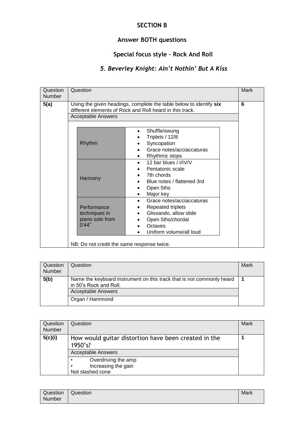#### **SECTION B**

## **Answer BOTH questions**

## **Special focus style – Rock And Roll**

## *5. Beverley Knight: Ain't Nothin' But A Kiss*

| Question<br>Number | Question                                                                                                                                                                                                                         | Mark |
|--------------------|----------------------------------------------------------------------------------------------------------------------------------------------------------------------------------------------------------------------------------|------|
| 5(a)               | Using the given headings, complete the table below to identify six<br>different elements of Rock and Roll heard in this track.<br><b>Acceptable Answers</b>                                                                      | 6    |
|                    | Shuffle/swung<br>Triplets / 12/8<br>Rhythm<br>Syncopation<br>Grace notes/acciaccaturas<br>Rhythmic stops<br>٠                                                                                                                    |      |
|                    | 12 bar blues / I/IV/V<br>$\bullet$<br>Pentatonic scale<br>7th chords<br>Harmony<br>Blue notes / flattened 3rd<br>Open 5ths<br>Major key                                                                                          |      |
|                    | Grace notes/acciaccaturas<br><b>Repeated triplets</b><br>Performance<br>techniques in<br>Glissando, allow slide<br>$\bullet$<br>piano solo from<br>Open 5ths/chordal<br>0'44"<br>Octaves<br>Uniform volume/all loud<br>$\bullet$ |      |
|                    | NB: Do not credit the same response twice.                                                                                                                                                                                       |      |

| Question<br><b>Number</b> | Question                                                                                        | Mark |
|---------------------------|-------------------------------------------------------------------------------------------------|------|
| 5(b)                      | Name the keyboard instrument on this track that is not commonly heard<br>in 50's Rock and Roll. |      |
|                           | <b>Acceptable Answers</b>                                                                       |      |
|                           | Organ / Hammond                                                                                 |      |

| Question<br><b>Number</b> | Question                                                                                     | Mark |
|---------------------------|----------------------------------------------------------------------------------------------|------|
| 5(c)(i)                   | How would guitar distortion have been created in the<br>1950's?<br><b>Acceptable Answers</b> |      |
|                           | Overdriving the amp<br>$\bullet$<br>Increasing the gain<br>$\bullet$<br>Not slashed cone     |      |

| Question | $\overline{\phantom{0}}$<br>Question | Mark |
|----------|--------------------------------------|------|
| Number   |                                      |      |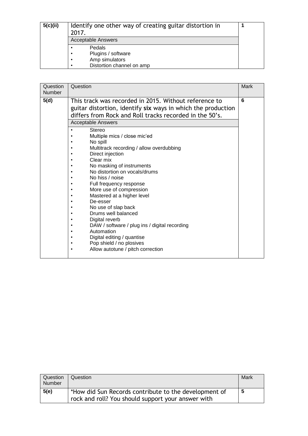| 5(c)(ii) | Identify one other way of creating guitar distortion in<br>2017.<br><b>Acceptable Answers</b> |  |
|----------|-----------------------------------------------------------------------------------------------|--|
|          | Pedals<br>Plugins / software<br>Amp simulators<br>Distortion channel on amp<br>٠              |  |

| 6<br>5(d)<br>This track was recorded in 2015. Without reference to<br>guitar distortion, identify six ways in which the production<br>differs from Rock and Roll tracks recorded in the 50's.<br><b>Acceptable Answers</b><br>Stereo<br>$\bullet$<br>Multiple mics / close mic'ed<br>No spill<br>Multitrack recording / allow overdubbing<br>Direct injection                                                    | Question<br>Number | Question  | Mark |
|------------------------------------------------------------------------------------------------------------------------------------------------------------------------------------------------------------------------------------------------------------------------------------------------------------------------------------------------------------------------------------------------------------------|--------------------|-----------|------|
| No masking of instruments<br>No distortion on vocals/drums<br>No hiss / noise<br>Full frequency response<br>More use of compression<br>Mastered at a higher level<br>De-esser<br>No use of slap back<br>Drums well balanced<br>Digital reverb<br>DAW / software / plug ins / digital recording<br>٠<br>Automation<br>Digital editing / quantise<br>Pop shield / no plosives<br>Allow autotune / pitch correction |                    | Clear mix |      |

| Question<br>Number | Question                                                                                                    | Mark |
|--------------------|-------------------------------------------------------------------------------------------------------------|------|
| 5(e)               | *How did Sun Records contribute to the development of<br>rock and roll? You should support your answer with | 5    |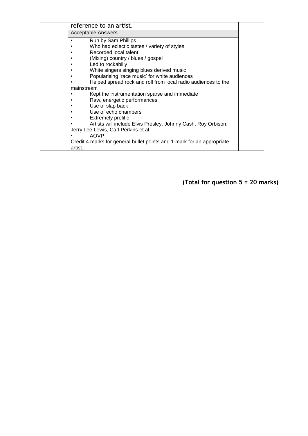| reference to an artist.                                                           |  |
|-----------------------------------------------------------------------------------|--|
| Acceptable Answers                                                                |  |
| Run by Sam Phillips                                                               |  |
| Who had eclectic tastes / variety of styles                                       |  |
| Recorded local talent                                                             |  |
| (Mixing) country / blues / gospel                                                 |  |
| Led to rockabilly                                                                 |  |
| White singers singing blues derived music                                         |  |
| Popularising 'race music' for white audiences                                     |  |
| Helped spread rock and roll from local radio audiences to the                     |  |
| mainstream                                                                        |  |
| Kept the instrumentation sparse and immediate                                     |  |
| Raw, energetic performances                                                       |  |
| Use of slap back                                                                  |  |
| Use of echo chambers                                                              |  |
| <b>Extremely prolific</b>                                                         |  |
| Artists will include Elvis Presley, Johnny Cash, Roy Orbison,                     |  |
| Jerry Lee Lewis, Carl Perkins et al                                               |  |
| <b>AOVP</b>                                                                       |  |
| Credit 4 marks for general bullet points and 1 mark for an appropriate<br>artist. |  |

**(Total for question 5 = 20 marks)**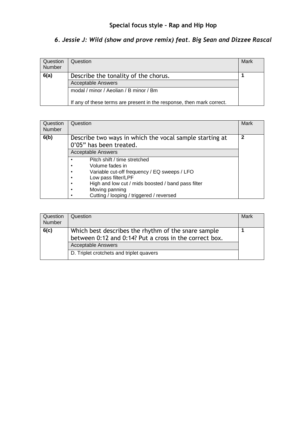## *6. Jessie J: Wild (show and prove remix) feat. Big Sean and Dizzee Rascal*

| Question<br><b>Number</b> | Question                                                              | Mark |
|---------------------------|-----------------------------------------------------------------------|------|
| 6(a)                      | Describe the tonality of the chorus.                                  |      |
|                           | <b>Acceptable Answers</b>                                             |      |
|                           | modal / minor / Aeolian / B minor / Bm                                |      |
|                           | If any of these terms are present in the response, then mark correct. |      |

| Question<br><b>Number</b> | Question                                                                           | Mark         |
|---------------------------|------------------------------------------------------------------------------------|--------------|
| 6(b)                      | Describe two ways in which the vocal sample starting at<br>0'05" has been treated. | $\mathbf{2}$ |
|                           | <b>Acceptable Answers</b>                                                          |              |
|                           | Pitch shift / time stretched                                                       |              |
|                           | Volume fades in<br>٠                                                               |              |
|                           | Variable cut-off frequency / EQ sweeps / LFO<br>٠                                  |              |
|                           | Low pass filter/LPF<br>٠                                                           |              |
|                           | High and low cut / mids boosted / band pass filter<br>٠                            |              |
|                           | Moving panning<br>$\bullet$                                                        |              |
|                           | Cutting / looping / triggered / reversed                                           |              |

| Question<br><b>Number</b> | Question                                                                                                                                                                               | Mark |
|---------------------------|----------------------------------------------------------------------------------------------------------------------------------------------------------------------------------------|------|
| 6(c)                      | Which best describes the rhythm of the snare sample<br>between 0:12 and 0:14? Put a cross in the correct box.<br><b>Acceptable Answers</b><br>D. Triplet crotchets and triplet quavers |      |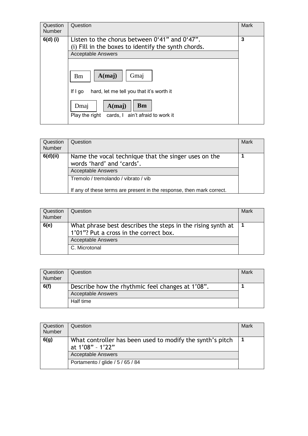| Question<br><b>Number</b> | Question                                                                                                                          | Mark |
|---------------------------|-----------------------------------------------------------------------------------------------------------------------------------|------|
| $6(d)$ (i)                | Listen to the chorus between 0'41" and 0'47".<br>(i) Fill in the boxes to identify the synth chords.<br><b>Acceptable Answers</b> | 3    |
|                           | A(maj)<br>Gmaj<br><b>Bm</b>                                                                                                       |      |
|                           | If $I$ go<br>hard, let me tell you that it's worth it                                                                             |      |
|                           | <b>Bm</b><br>A(maj)<br>Dmaj<br>cards, I ain't afraid to work it<br>Play the right                                                 |      |

| Question<br><b>Number</b> | Question                                                                                                       | Mark |
|---------------------------|----------------------------------------------------------------------------------------------------------------|------|
| 6(d)(ii)                  | Name the vocal technique that the singer uses on the<br>words 'hard' and 'cards'.<br><b>Acceptable Answers</b> |      |
|                           | Tremolo / tremolando / vibrato / vib<br>If any of these terms are present in the response, then mark correct.  |      |

| <b>Question</b><br>Number | Question                                                                                              | Mark |
|---------------------------|-------------------------------------------------------------------------------------------------------|------|
| 6(e)                      | What phrase best describes the steps in the rising synth at<br>1'01"? Put a cross in the correct box. |      |
|                           | <b>Acceptable Answers</b>                                                                             |      |
|                           | C. Microtonal                                                                                         |      |

| Question<br>Number | Question                                         | Mark |
|--------------------|--------------------------------------------------|------|
| 6(f)               | Describe how the rhythmic feel changes at 1'08". |      |
|                    | <b>Acceptable Answers</b>                        |      |
|                    | Half time                                        |      |

| Question<br><b>Number</b> | Question                                                                      | Mark |
|---------------------------|-------------------------------------------------------------------------------|------|
| 6(g)                      | What controller has been used to modify the synth's pitch<br>at 1'08" - 1'22" |      |
|                           | <b>Acceptable Answers</b>                                                     |      |
|                           | Portamento / glide / 5 / 65 / 84                                              |      |